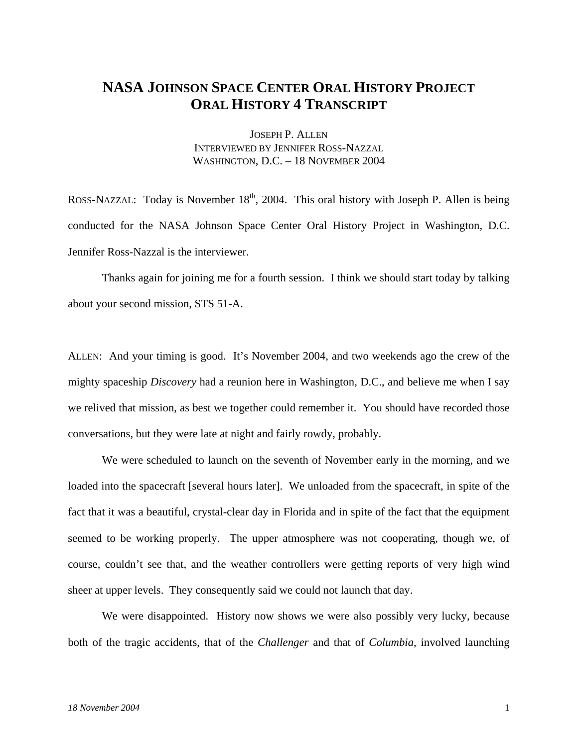## **NASA JOHNSON SPACE CENTER ORAL HISTORY PROJECT ORAL HISTORY 4 TRANSCRIPT**

JOSEPH P. ALLEN INTERVIEWED BY JENNIFER ROSS-NAZZAL WASHINGTON, D.C. – 18 NOVEMBER 2004

ROSS-NAZZAL: Today is November  $18<sup>th</sup>$ , 2004. This oral history with Joseph P. Allen is being conducted for the NASA Johnson Space Center Oral History Project in Washington, D.C. Jennifer Ross-Nazzal is the interviewer.

 Thanks again for joining me for a fourth session. I think we should start today by talking about your second mission, STS 51-A.

ALLEN: And your timing is good. It's November 2004, and two weekends ago the crew of the mighty spaceship *Discovery* had a reunion here in Washington, D.C., and believe me when I say we relived that mission, as best we together could remember it. You should have recorded those conversations, but they were late at night and fairly rowdy, probably.

 We were scheduled to launch on the seventh of November early in the morning, and we loaded into the spacecraft [several hours later]. We unloaded from the spacecraft, in spite of the fact that it was a beautiful, crystal-clear day in Florida and in spite of the fact that the equipment seemed to be working properly. The upper atmosphere was not cooperating, though we, of course, couldn't see that, and the weather controllers were getting reports of very high wind sheer at upper levels. They consequently said we could not launch that day.

 We were disappointed. History now shows we were also possibly very lucky, because both of the tragic accidents, that of the *Challenger* and that of *Columbia*, involved launching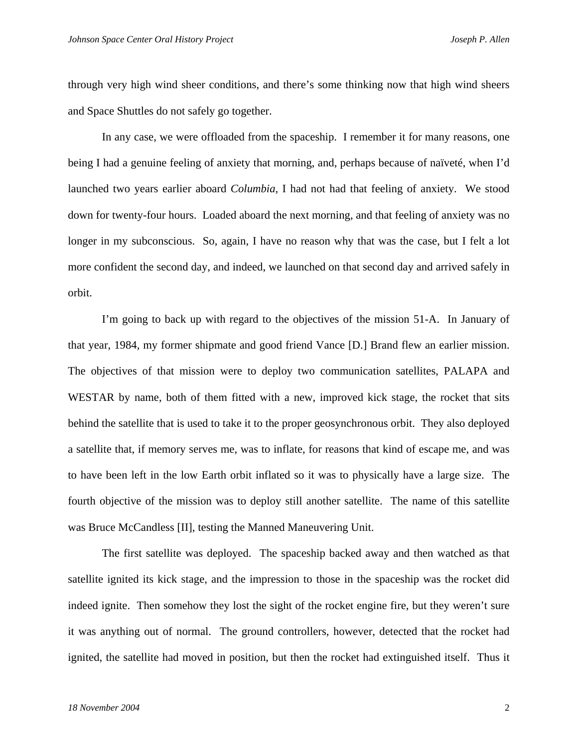through very high wind sheer conditions, and there's some thinking now that high wind sheers and Space Shuttles do not safely go together.

In any case, we were offloaded from the spaceship. I remember it for many reasons, one being I had a genuine feeling of anxiety that morning, and, perhaps because of naïveté, when I'd launched two years earlier aboard *Columbia*, I had not had that feeling of anxiety. We stood down for twenty-four hours. Loaded aboard the next morning, and that feeling of anxiety was no longer in my subconscious. So, again, I have no reason why that was the case, but I felt a lot more confident the second day, and indeed, we launched on that second day and arrived safely in orbit.

I'm going to back up with regard to the objectives of the mission 51-A. In January of that year, 1984, my former shipmate and good friend Vance [D.] Brand flew an earlier mission. The objectives of that mission were to deploy two communication satellites, PALAPA and WESTAR by name, both of them fitted with a new, improved kick stage, the rocket that sits behind the satellite that is used to take it to the proper geosynchronous orbit. They also deployed a satellite that, if memory serves me, was to inflate, for reasons that kind of escape me, and was to have been left in the low Earth orbit inflated so it was to physically have a large size. The fourth objective of the mission was to deploy still another satellite. The name of this satellite was Bruce McCandless [II], testing the Manned Maneuvering Unit.

The first satellite was deployed. The spaceship backed away and then watched as that satellite ignited its kick stage, and the impression to those in the spaceship was the rocket did indeed ignite. Then somehow they lost the sight of the rocket engine fire, but they weren't sure it was anything out of normal. The ground controllers, however, detected that the rocket had ignited, the satellite had moved in position, but then the rocket had extinguished itself. Thus it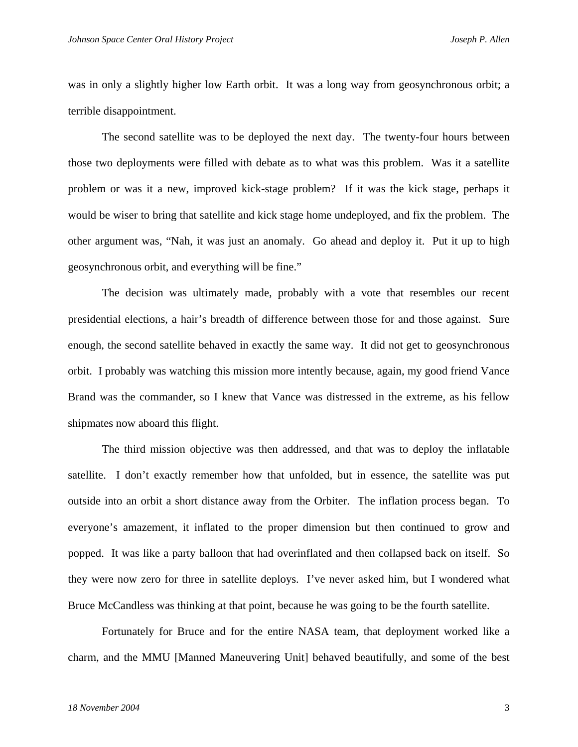was in only a slightly higher low Earth orbit. It was a long way from geosynchronous orbit; a terrible disappointment.

The second satellite was to be deployed the next day. The twenty-four hours between those two deployments were filled with debate as to what was this problem. Was it a satellite problem or was it a new, improved kick-stage problem? If it was the kick stage, perhaps it would be wiser to bring that satellite and kick stage home undeployed, and fix the problem. The other argument was, "Nah, it was just an anomaly. Go ahead and deploy it. Put it up to high geosynchronous orbit, and everything will be fine."

The decision was ultimately made, probably with a vote that resembles our recent presidential elections, a hair's breadth of difference between those for and those against. Sure enough, the second satellite behaved in exactly the same way. It did not get to geosynchronous orbit. I probably was watching this mission more intently because, again, my good friend Vance Brand was the commander, so I knew that Vance was distressed in the extreme, as his fellow shipmates now aboard this flight.

The third mission objective was then addressed, and that was to deploy the inflatable satellite. I don't exactly remember how that unfolded, but in essence, the satellite was put outside into an orbit a short distance away from the Orbiter. The inflation process began. To everyone's amazement, it inflated to the proper dimension but then continued to grow and popped. It was like a party balloon that had overinflated and then collapsed back on itself. So they were now zero for three in satellite deploys. I've never asked him, but I wondered what Bruce McCandless was thinking at that point, because he was going to be the fourth satellite.

Fortunately for Bruce and for the entire NASA team, that deployment worked like a charm, and the MMU [Manned Maneuvering Unit] behaved beautifully, and some of the best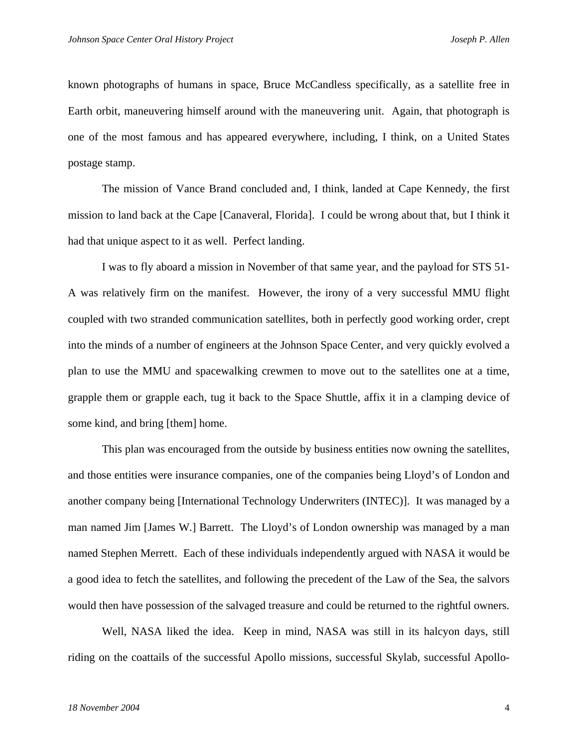known photographs of humans in space, Bruce McCandless specifically, as a satellite free in Earth orbit, maneuvering himself around with the maneuvering unit. Again, that photograph is one of the most famous and has appeared everywhere, including, I think, on a United States postage stamp.

The mission of Vance Brand concluded and, I think, landed at Cape Kennedy, the first mission to land back at the Cape [Canaveral, Florida]. I could be wrong about that, but I think it had that unique aspect to it as well. Perfect landing.

I was to fly aboard a mission in November of that same year, and the payload for STS 51- A was relatively firm on the manifest. However, the irony of a very successful MMU flight coupled with two stranded communication satellites, both in perfectly good working order, crept into the minds of a number of engineers at the Johnson Space Center, and very quickly evolved a plan to use the MMU and spacewalking crewmen to move out to the satellites one at a time, grapple them or grapple each, tug it back to the Space Shuttle, affix it in a clamping device of some kind, and bring [them] home.

This plan was encouraged from the outside by business entities now owning the satellites, and those entities were insurance companies, one of the companies being Lloyd's of London and another company being [International Technology Underwriters (INTEC)]. It was managed by a man named Jim [James W.] Barrett. The Lloyd's of London ownership was managed by a man named Stephen Merrett. Each of these individuals independently argued with NASA it would be a good idea to fetch the satellites, and following the precedent of the Law of the Sea, the salvors would then have possession of the salvaged treasure and could be returned to the rightful owners.

Well, NASA liked the idea. Keep in mind, NASA was still in its halcyon days, still riding on the coattails of the successful Apollo missions, successful Skylab, successful Apollo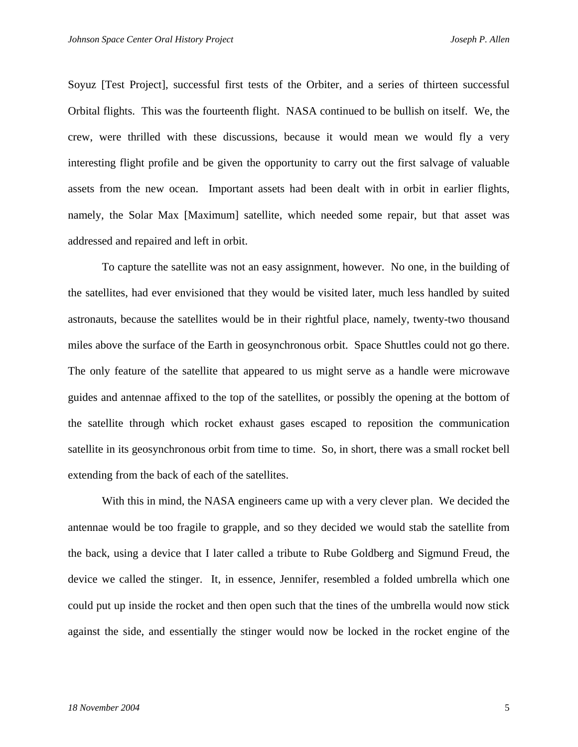Soyuz [Test Project], successful first tests of the Orbiter, and a series of thirteen successful Orbital flights. This was the fourteenth flight. NASA continued to be bullish on itself. We, the crew, were thrilled with these discussions, because it would mean we would fly a very interesting flight profile and be given the opportunity to carry out the first salvage of valuable assets from the new ocean. Important assets had been dealt with in orbit in earlier flights, namely, the Solar Max [Maximum] satellite, which needed some repair, but that asset was addressed and repaired and left in orbit.

To capture the satellite was not an easy assignment, however. No one, in the building of the satellites, had ever envisioned that they would be visited later, much less handled by suited astronauts, because the satellites would be in their rightful place, namely, twenty-two thousand miles above the surface of the Earth in geosynchronous orbit. Space Shuttles could not go there. The only feature of the satellite that appeared to us might serve as a handle were microwave guides and antennae affixed to the top of the satellites, or possibly the opening at the bottom of the satellite through which rocket exhaust gases escaped to reposition the communication satellite in its geosynchronous orbit from time to time. So, in short, there was a small rocket bell extending from the back of each of the satellites.

With this in mind, the NASA engineers came up with a very clever plan. We decided the antennae would be too fragile to grapple, and so they decided we would stab the satellite from the back, using a device that I later called a tribute to Rube Goldberg and Sigmund Freud, the device we called the stinger. It, in essence, Jennifer, resembled a folded umbrella which one could put up inside the rocket and then open such that the tines of the umbrella would now stick against the side, and essentially the stinger would now be locked in the rocket engine of the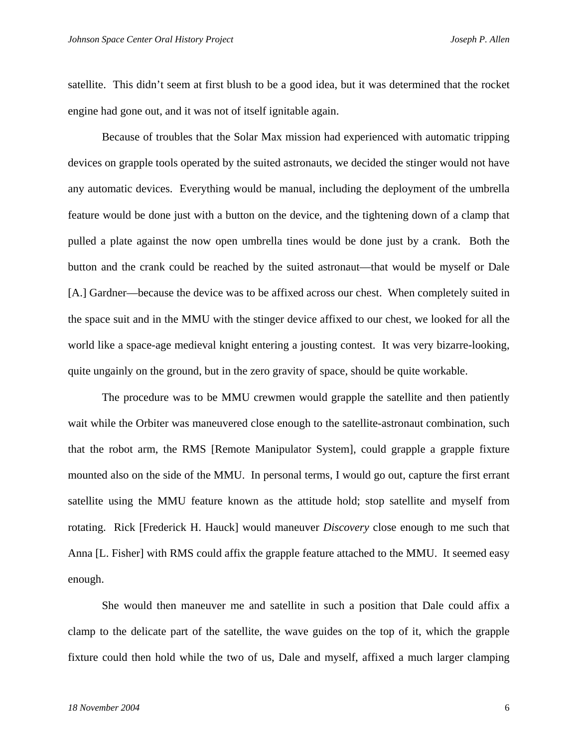satellite. This didn't seem at first blush to be a good idea, but it was determined that the rocket engine had gone out, and it was not of itself ignitable again.

Because of troubles that the Solar Max mission had experienced with automatic tripping devices on grapple tools operated by the suited astronauts, we decided the stinger would not have any automatic devices. Everything would be manual, including the deployment of the umbrella feature would be done just with a button on the device, and the tightening down of a clamp that pulled a plate against the now open umbrella tines would be done just by a crank. Both the button and the crank could be reached by the suited astronaut—that would be myself or Dale [A.] Gardner—because the device was to be affixed across our chest. When completely suited in the space suit and in the MMU with the stinger device affixed to our chest, we looked for all the world like a space-age medieval knight entering a jousting contest. It was very bizarre-looking, quite ungainly on the ground, but in the zero gravity of space, should be quite workable.

The procedure was to be MMU crewmen would grapple the satellite and then patiently wait while the Orbiter was maneuvered close enough to the satellite-astronaut combination, such that the robot arm, the RMS [Remote Manipulator System], could grapple a grapple fixture mounted also on the side of the MMU. In personal terms, I would go out, capture the first errant satellite using the MMU feature known as the attitude hold; stop satellite and myself from rotating. Rick [Frederick H. Hauck] would maneuver *Discovery* close enough to me such that Anna [L. Fisher] with RMS could affix the grapple feature attached to the MMU. It seemed easy enough.

She would then maneuver me and satellite in such a position that Dale could affix a clamp to the delicate part of the satellite, the wave guides on the top of it, which the grapple fixture could then hold while the two of us, Dale and myself, affixed a much larger clamping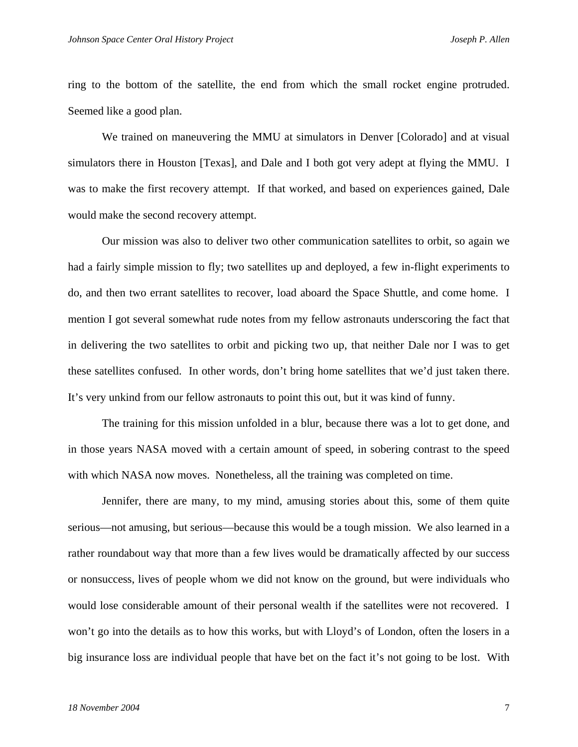ring to the bottom of the satellite, the end from which the small rocket engine protruded. Seemed like a good plan.

We trained on maneuvering the MMU at simulators in Denver [Colorado] and at visual simulators there in Houston [Texas], and Dale and I both got very adept at flying the MMU. I was to make the first recovery attempt. If that worked, and based on experiences gained, Dale would make the second recovery attempt.

Our mission was also to deliver two other communication satellites to orbit, so again we had a fairly simple mission to fly; two satellites up and deployed, a few in-flight experiments to do, and then two errant satellites to recover, load aboard the Space Shuttle, and come home. I mention I got several somewhat rude notes from my fellow astronauts underscoring the fact that in delivering the two satellites to orbit and picking two up, that neither Dale nor I was to get these satellites confused. In other words, don't bring home satellites that we'd just taken there. It's very unkind from our fellow astronauts to point this out, but it was kind of funny.

The training for this mission unfolded in a blur, because there was a lot to get done, and in those years NASA moved with a certain amount of speed, in sobering contrast to the speed with which NASA now moves. Nonetheless, all the training was completed on time.

Jennifer, there are many, to my mind, amusing stories about this, some of them quite serious—not amusing, but serious—because this would be a tough mission. We also learned in a rather roundabout way that more than a few lives would be dramatically affected by our success or nonsuccess, lives of people whom we did not know on the ground, but were individuals who would lose considerable amount of their personal wealth if the satellites were not recovered. I won't go into the details as to how this works, but with Lloyd's of London, often the losers in a big insurance loss are individual people that have bet on the fact it's not going to be lost. With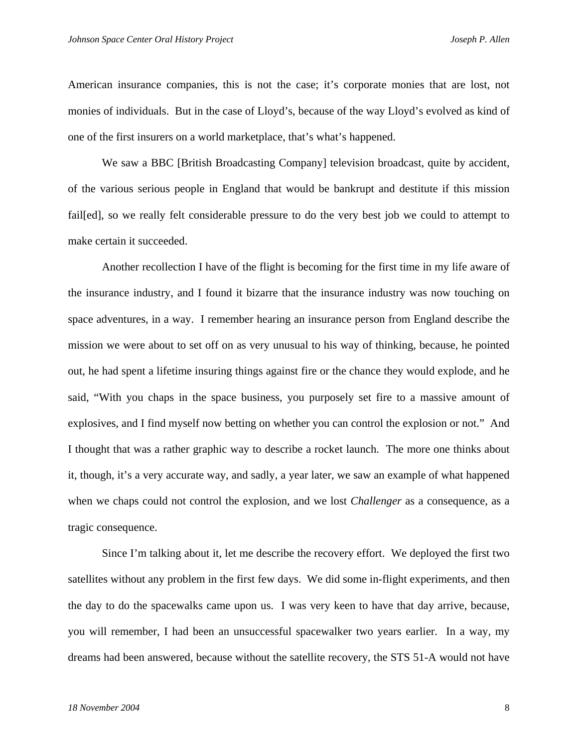American insurance companies, this is not the case; it's corporate monies that are lost, not monies of individuals. But in the case of Lloyd's, because of the way Lloyd's evolved as kind of one of the first insurers on a world marketplace, that's what's happened.

We saw a BBC [British Broadcasting Company] television broadcast, quite by accident, of the various serious people in England that would be bankrupt and destitute if this mission fail[ed], so we really felt considerable pressure to do the very best job we could to attempt to make certain it succeeded.

Another recollection I have of the flight is becoming for the first time in my life aware of the insurance industry, and I found it bizarre that the insurance industry was now touching on space adventures, in a way. I remember hearing an insurance person from England describe the mission we were about to set off on as very unusual to his way of thinking, because, he pointed out, he had spent a lifetime insuring things against fire or the chance they would explode, and he said, "With you chaps in the space business, you purposely set fire to a massive amount of explosives, and I find myself now betting on whether you can control the explosion or not." And I thought that was a rather graphic way to describe a rocket launch. The more one thinks about it, though, it's a very accurate way, and sadly, a year later, we saw an example of what happened when we chaps could not control the explosion, and we lost *Challenger* as a consequence, as a tragic consequence.

Since I'm talking about it, let me describe the recovery effort. We deployed the first two satellites without any problem in the first few days. We did some in-flight experiments, and then the day to do the spacewalks came upon us. I was very keen to have that day arrive, because, you will remember, I had been an unsuccessful spacewalker two years earlier. In a way, my dreams had been answered, because without the satellite recovery, the STS 51-A would not have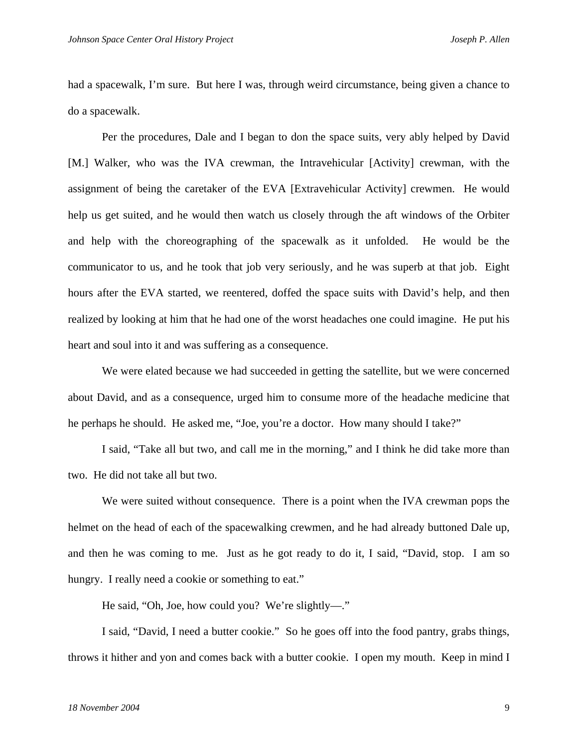had a spacewalk, I'm sure. But here I was, through weird circumstance, being given a chance to do a spacewalk.

Per the procedures, Dale and I began to don the space suits, very ably helped by David [M.] Walker, who was the IVA crewman, the Intravehicular [Activity] crewman, with the assignment of being the caretaker of the EVA [Extravehicular Activity] crewmen. He would help us get suited, and he would then watch us closely through the aft windows of the Orbiter and help with the choreographing of the spacewalk as it unfolded. He would be the communicator to us, and he took that job very seriously, and he was superb at that job. Eight hours after the EVA started, we reentered, doffed the space suits with David's help, and then realized by looking at him that he had one of the worst headaches one could imagine. He put his heart and soul into it and was suffering as a consequence.

We were elated because we had succeeded in getting the satellite, but we were concerned about David, and as a consequence, urged him to consume more of the headache medicine that he perhaps he should. He asked me, "Joe, you're a doctor. How many should I take?"

I said, "Take all but two, and call me in the morning," and I think he did take more than two. He did not take all but two.

We were suited without consequence. There is a point when the IVA crewman pops the helmet on the head of each of the spacewalking crewmen, and he had already buttoned Dale up, and then he was coming to me. Just as he got ready to do it, I said, "David, stop. I am so hungry. I really need a cookie or something to eat."

He said, "Oh, Joe, how could you? We're slightly—."

I said, "David, I need a butter cookie." So he goes off into the food pantry, grabs things, throws it hither and yon and comes back with a butter cookie. I open my mouth. Keep in mind I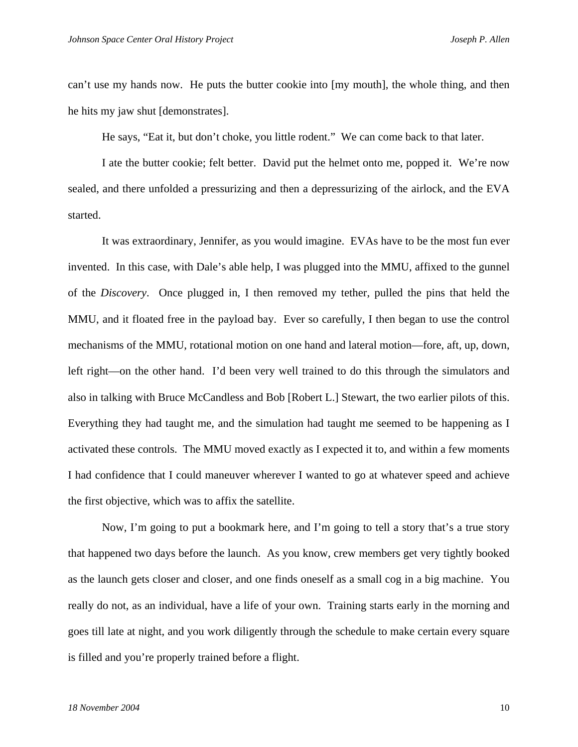can't use my hands now. He puts the butter cookie into [my mouth], the whole thing, and then he hits my jaw shut [demonstrates].

He says, "Eat it, but don't choke, you little rodent." We can come back to that later.

I ate the butter cookie; felt better. David put the helmet onto me, popped it. We're now sealed, and there unfolded a pressurizing and then a depressurizing of the airlock, and the EVA started.

It was extraordinary, Jennifer, as you would imagine. EVAs have to be the most fun ever invented. In this case, with Dale's able help, I was plugged into the MMU, affixed to the gunnel of the *Discovery*. Once plugged in, I then removed my tether, pulled the pins that held the MMU, and it floated free in the payload bay. Ever so carefully, I then began to use the control mechanisms of the MMU, rotational motion on one hand and lateral motion—fore, aft, up, down, left right—on the other hand. I'd been very well trained to do this through the simulators and also in talking with Bruce McCandless and Bob [Robert L.] Stewart, the two earlier pilots of this. Everything they had taught me, and the simulation had taught me seemed to be happening as I activated these controls. The MMU moved exactly as I expected it to, and within a few moments I had confidence that I could maneuver wherever I wanted to go at whatever speed and achieve the first objective, which was to affix the satellite.

Now, I'm going to put a bookmark here, and I'm going to tell a story that's a true story that happened two days before the launch. As you know, crew members get very tightly booked as the launch gets closer and closer, and one finds oneself as a small cog in a big machine. You really do not, as an individual, have a life of your own. Training starts early in the morning and goes till late at night, and you work diligently through the schedule to make certain every square is filled and you're properly trained before a flight.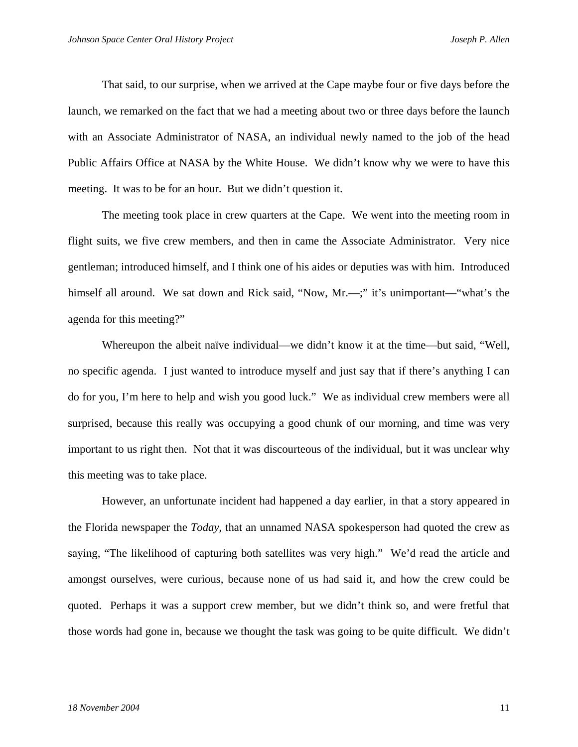That said, to our surprise, when we arrived at the Cape maybe four or five days before the launch, we remarked on the fact that we had a meeting about two or three days before the launch with an Associate Administrator of NASA, an individual newly named to the job of the head Public Affairs Office at NASA by the White House. We didn't know why we were to have this meeting. It was to be for an hour. But we didn't question it.

The meeting took place in crew quarters at the Cape. We went into the meeting room in flight suits, we five crew members, and then in came the Associate Administrator. Very nice gentleman; introduced himself, and I think one of his aides or deputies was with him. Introduced himself all around. We sat down and Rick said, "Now, Mr.—;" it's unimportant—"what's the agenda for this meeting?"

Whereupon the albeit naïve individual—we didn't know it at the time—but said, "Well, no specific agenda. I just wanted to introduce myself and just say that if there's anything I can do for you, I'm here to help and wish you good luck." We as individual crew members were all surprised, because this really was occupying a good chunk of our morning, and time was very important to us right then. Not that it was discourteous of the individual, but it was unclear why this meeting was to take place.

However, an unfortunate incident had happened a day earlier, in that a story appeared in the Florida newspaper the *Today*, that an unnamed NASA spokesperson had quoted the crew as saying, "The likelihood of capturing both satellites was very high." We'd read the article and amongst ourselves, were curious, because none of us had said it, and how the crew could be quoted. Perhaps it was a support crew member, but we didn't think so, and were fretful that those words had gone in, because we thought the task was going to be quite difficult. We didn't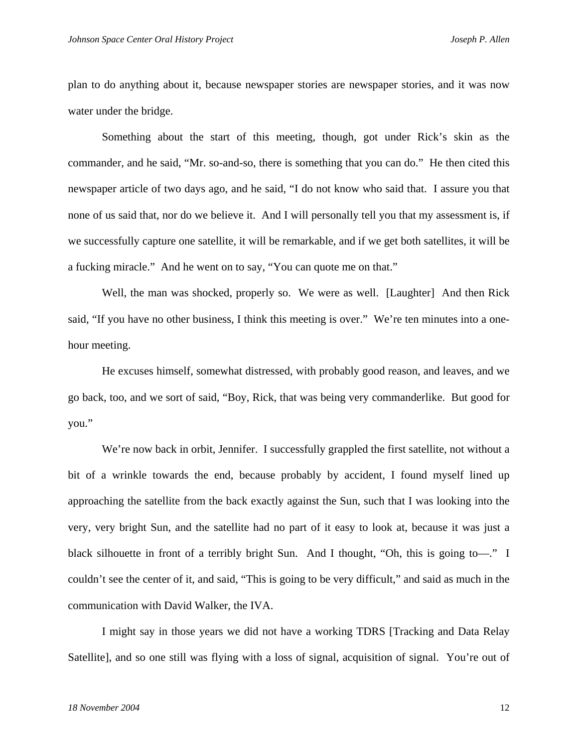plan to do anything about it, because newspaper stories are newspaper stories, and it was now water under the bridge.

Something about the start of this meeting, though, got under Rick's skin as the commander, and he said, "Mr. so-and-so, there is something that you can do." He then cited this newspaper article of two days ago, and he said, "I do not know who said that. I assure you that none of us said that, nor do we believe it. And I will personally tell you that my assessment is, if we successfully capture one satellite, it will be remarkable, and if we get both satellites, it will be a fucking miracle." And he went on to say, "You can quote me on that."

Well, the man was shocked, properly so. We were as well. [Laughter] And then Rick said, "If you have no other business, I think this meeting is over." We're ten minutes into a onehour meeting.

He excuses himself, somewhat distressed, with probably good reason, and leaves, and we go back, too, and we sort of said, "Boy, Rick, that was being very commanderlike. But good for you."

We're now back in orbit, Jennifer. I successfully grappled the first satellite, not without a bit of a wrinkle towards the end, because probably by accident, I found myself lined up approaching the satellite from the back exactly against the Sun, such that I was looking into the very, very bright Sun, and the satellite had no part of it easy to look at, because it was just a black silhouette in front of a terribly bright Sun. And I thought, "Oh, this is going to—." I couldn't see the center of it, and said, "This is going to be very difficult," and said as much in the communication with David Walker, the IVA.

I might say in those years we did not have a working TDRS [Tracking and Data Relay Satellite], and so one still was flying with a loss of signal, acquisition of signal. You're out of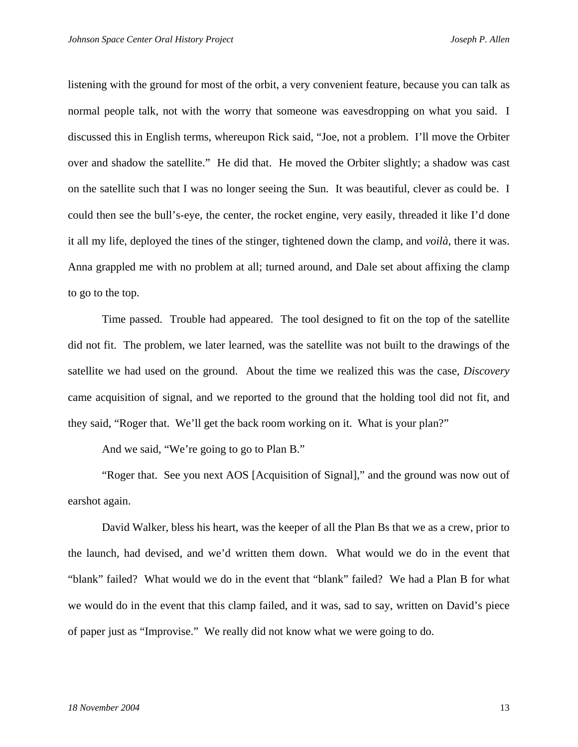listening with the ground for most of the orbit, a very convenient feature, because you can talk as normal people talk, not with the worry that someone was eavesdropping on what you said. I discussed this in English terms, whereupon Rick said, "Joe, not a problem. I'll move the Orbiter over and shadow the satellite." He did that. He moved the Orbiter slightly; a shadow was cast on the satellite such that I was no longer seeing the Sun. It was beautiful, clever as could be. I could then see the bull's-eye, the center, the rocket engine, very easily, threaded it like I'd done it all my life, deployed the tines of the stinger, tightened down the clamp, and *voilà*, there it was. Anna grappled me with no problem at all; turned around, and Dale set about affixing the clamp to go to the top.

Time passed. Trouble had appeared. The tool designed to fit on the top of the satellite did not fit. The problem, we later learned, was the satellite was not built to the drawings of the satellite we had used on the ground. About the time we realized this was the case, *Discovery* came acquisition of signal, and we reported to the ground that the holding tool did not fit, and they said, "Roger that. We'll get the back room working on it. What is your plan?"

And we said, "We're going to go to Plan B."

"Roger that. See you next AOS [Acquisition of Signal]," and the ground was now out of earshot again.

David Walker, bless his heart, was the keeper of all the Plan Bs that we as a crew, prior to the launch, had devised, and we'd written them down. What would we do in the event that "blank" failed? What would we do in the event that "blank" failed? We had a Plan B for what we would do in the event that this clamp failed, and it was, sad to say, written on David's piece of paper just as "Improvise." We really did not know what we were going to do.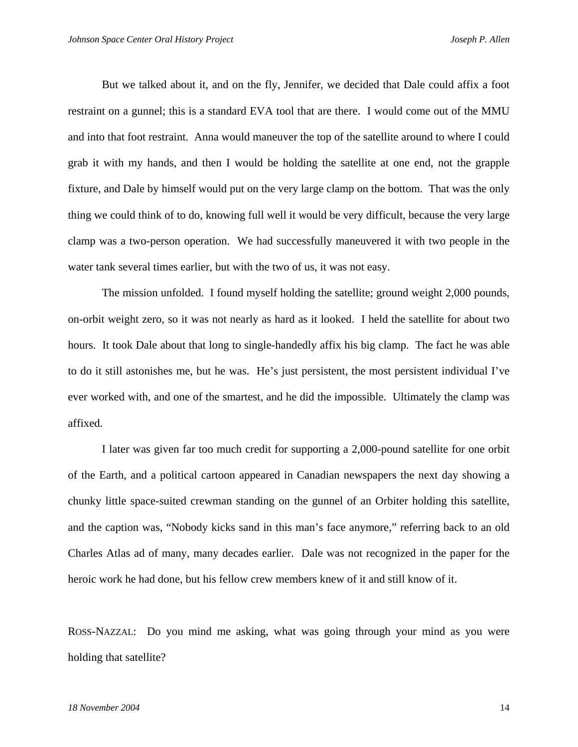But we talked about it, and on the fly, Jennifer, we decided that Dale could affix a foot restraint on a gunnel; this is a standard EVA tool that are there. I would come out of the MMU and into that foot restraint. Anna would maneuver the top of the satellite around to where I could grab it with my hands, and then I would be holding the satellite at one end, not the grapple fixture, and Dale by himself would put on the very large clamp on the bottom. That was the only thing we could think of to do, knowing full well it would be very difficult, because the very large clamp was a two-person operation. We had successfully maneuvered it with two people in the water tank several times earlier, but with the two of us, it was not easy.

The mission unfolded. I found myself holding the satellite; ground weight 2,000 pounds, on-orbit weight zero, so it was not nearly as hard as it looked. I held the satellite for about two hours. It took Dale about that long to single-handedly affix his big clamp. The fact he was able to do it still astonishes me, but he was. He's just persistent, the most persistent individual I've ever worked with, and one of the smartest, and he did the impossible. Ultimately the clamp was affixed.

I later was given far too much credit for supporting a 2,000-pound satellite for one orbit of the Earth, and a political cartoon appeared in Canadian newspapers the next day showing a chunky little space-suited crewman standing on the gunnel of an Orbiter holding this satellite, and the caption was, "Nobody kicks sand in this man's face anymore," referring back to an old Charles Atlas ad of many, many decades earlier. Dale was not recognized in the paper for the heroic work he had done, but his fellow crew members knew of it and still know of it.

ROSS-NAZZAL: Do you mind me asking, what was going through your mind as you were holding that satellite?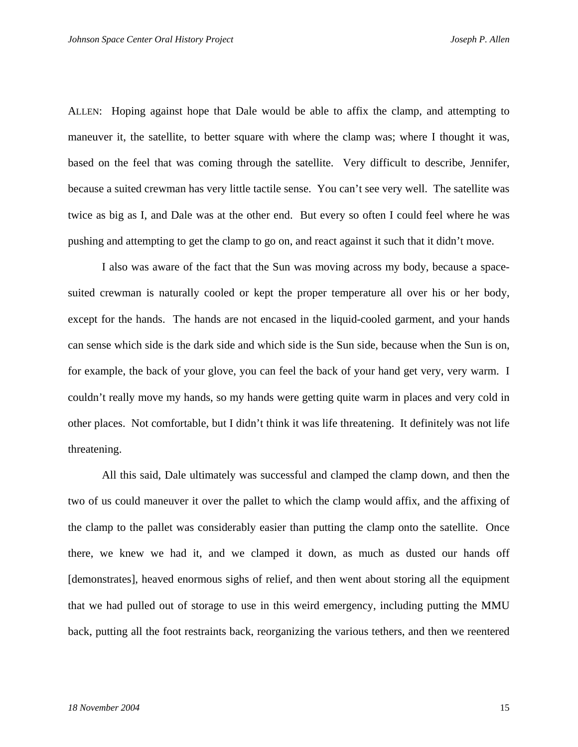ALLEN: Hoping against hope that Dale would be able to affix the clamp, and attempting to maneuver it, the satellite, to better square with where the clamp was; where I thought it was, based on the feel that was coming through the satellite. Very difficult to describe, Jennifer, because a suited crewman has very little tactile sense. You can't see very well. The satellite was twice as big as I, and Dale was at the other end. But every so often I could feel where he was pushing and attempting to get the clamp to go on, and react against it such that it didn't move.

I also was aware of the fact that the Sun was moving across my body, because a spacesuited crewman is naturally cooled or kept the proper temperature all over his or her body, except for the hands. The hands are not encased in the liquid-cooled garment, and your hands can sense which side is the dark side and which side is the Sun side, because when the Sun is on, for example, the back of your glove, you can feel the back of your hand get very, very warm. I couldn't really move my hands, so my hands were getting quite warm in places and very cold in other places. Not comfortable, but I didn't think it was life threatening. It definitely was not life threatening.

All this said, Dale ultimately was successful and clamped the clamp down, and then the two of us could maneuver it over the pallet to which the clamp would affix, and the affixing of the clamp to the pallet was considerably easier than putting the clamp onto the satellite. Once there, we knew we had it, and we clamped it down, as much as dusted our hands off [demonstrates], heaved enormous sighs of relief, and then went about storing all the equipment that we had pulled out of storage to use in this weird emergency, including putting the MMU back, putting all the foot restraints back, reorganizing the various tethers, and then we reentered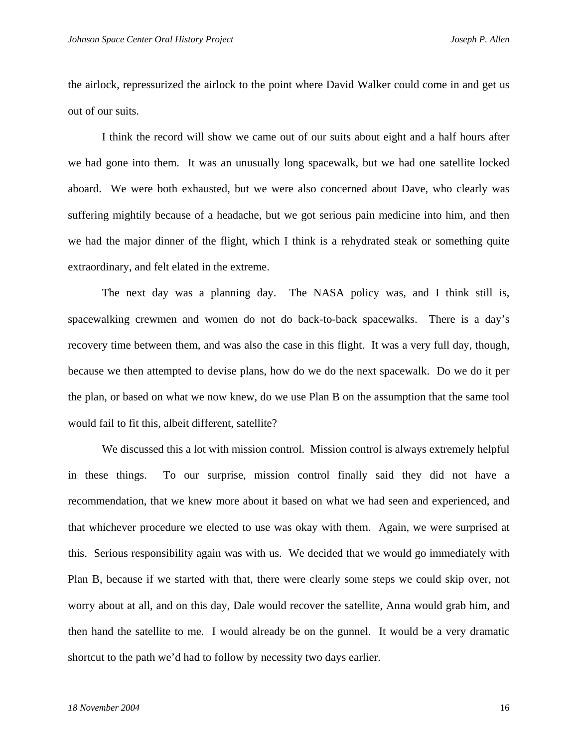the airlock, repressurized the airlock to the point where David Walker could come in and get us out of our suits.

I think the record will show we came out of our suits about eight and a half hours after we had gone into them. It was an unusually long spacewalk, but we had one satellite locked aboard. We were both exhausted, but we were also concerned about Dave, who clearly was suffering mightily because of a headache, but we got serious pain medicine into him, and then we had the major dinner of the flight, which I think is a rehydrated steak or something quite extraordinary, and felt elated in the extreme.

The next day was a planning day. The NASA policy was, and I think still is, spacewalking crewmen and women do not do back-to-back spacewalks. There is a day's recovery time between them, and was also the case in this flight. It was a very full day, though, because we then attempted to devise plans, how do we do the next spacewalk. Do we do it per the plan, or based on what we now knew, do we use Plan B on the assumption that the same tool would fail to fit this, albeit different, satellite?

We discussed this a lot with mission control. Mission control is always extremely helpful in these things. To our surprise, mission control finally said they did not have a recommendation, that we knew more about it based on what we had seen and experienced, and that whichever procedure we elected to use was okay with them. Again, we were surprised at this. Serious responsibility again was with us. We decided that we would go immediately with Plan B, because if we started with that, there were clearly some steps we could skip over, not worry about at all, and on this day, Dale would recover the satellite, Anna would grab him, and then hand the satellite to me. I would already be on the gunnel. It would be a very dramatic shortcut to the path we'd had to follow by necessity two days earlier.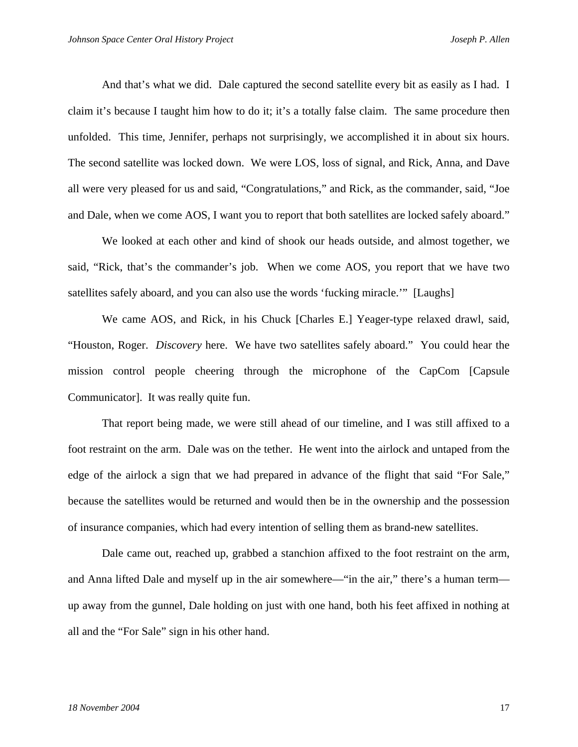And that's what we did. Dale captured the second satellite every bit as easily as I had. I claim it's because I taught him how to do it; it's a totally false claim. The same procedure then unfolded. This time, Jennifer, perhaps not surprisingly, we accomplished it in about six hours. The second satellite was locked down. We were LOS, loss of signal, and Rick, Anna, and Dave all were very pleased for us and said, "Congratulations," and Rick, as the commander, said, "Joe and Dale, when we come AOS, I want you to report that both satellites are locked safely aboard."

We looked at each other and kind of shook our heads outside, and almost together, we said, "Rick, that's the commander's job. When we come AOS, you report that we have two satellites safely aboard, and you can also use the words 'fucking miracle.'" [Laughs]

We came AOS, and Rick, in his Chuck [Charles E.] Yeager-type relaxed drawl, said, "Houston, Roger. *Discovery* here. We have two satellites safely aboard." You could hear the mission control people cheering through the microphone of the CapCom [Capsule Communicator]. It was really quite fun.

That report being made, we were still ahead of our timeline, and I was still affixed to a foot restraint on the arm. Dale was on the tether. He went into the airlock and untaped from the edge of the airlock a sign that we had prepared in advance of the flight that said "For Sale," because the satellites would be returned and would then be in the ownership and the possession of insurance companies, which had every intention of selling them as brand-new satellites.

Dale came out, reached up, grabbed a stanchion affixed to the foot restraint on the arm, and Anna lifted Dale and myself up in the air somewhere—"in the air," there's a human term up away from the gunnel, Dale holding on just with one hand, both his feet affixed in nothing at all and the "For Sale" sign in his other hand.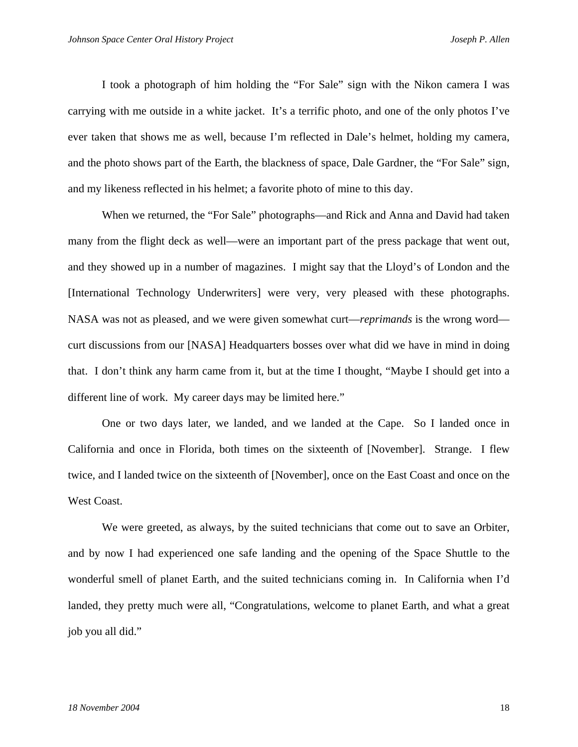I took a photograph of him holding the "For Sale" sign with the Nikon camera I was carrying with me outside in a white jacket. It's a terrific photo, and one of the only photos I've ever taken that shows me as well, because I'm reflected in Dale's helmet, holding my camera, and the photo shows part of the Earth, the blackness of space, Dale Gardner, the "For Sale" sign, and my likeness reflected in his helmet; a favorite photo of mine to this day.

When we returned, the "For Sale" photographs—and Rick and Anna and David had taken many from the flight deck as well—were an important part of the press package that went out, and they showed up in a number of magazines. I might say that the Lloyd's of London and the [International Technology Underwriters] were very, very pleased with these photographs. NASA was not as pleased, and we were given somewhat curt—*reprimands* is the wrong word curt discussions from our [NASA] Headquarters bosses over what did we have in mind in doing that. I don't think any harm came from it, but at the time I thought, "Maybe I should get into a different line of work. My career days may be limited here."

One or two days later, we landed, and we landed at the Cape. So I landed once in California and once in Florida, both times on the sixteenth of [November]. Strange. I flew twice, and I landed twice on the sixteenth of [November], once on the East Coast and once on the West Coast.

We were greeted, as always, by the suited technicians that come out to save an Orbiter, and by now I had experienced one safe landing and the opening of the Space Shuttle to the wonderful smell of planet Earth, and the suited technicians coming in. In California when I'd landed, they pretty much were all, "Congratulations, welcome to planet Earth, and what a great job you all did."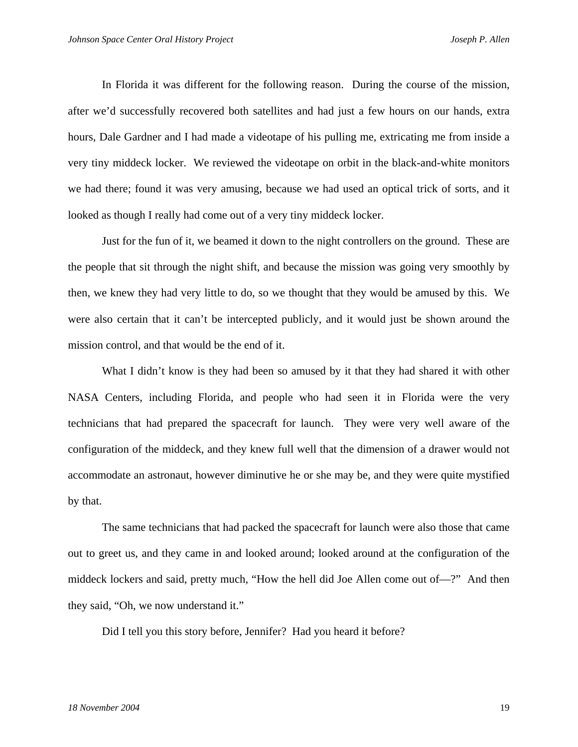In Florida it was different for the following reason. During the course of the mission, after we'd successfully recovered both satellites and had just a few hours on our hands, extra hours, Dale Gardner and I had made a videotape of his pulling me, extricating me from inside a very tiny middeck locker. We reviewed the videotape on orbit in the black-and-white monitors we had there; found it was very amusing, because we had used an optical trick of sorts, and it looked as though I really had come out of a very tiny middeck locker.

Just for the fun of it, we beamed it down to the night controllers on the ground. These are the people that sit through the night shift, and because the mission was going very smoothly by then, we knew they had very little to do, so we thought that they would be amused by this. We were also certain that it can't be intercepted publicly, and it would just be shown around the mission control, and that would be the end of it.

What I didn't know is they had been so amused by it that they had shared it with other NASA Centers, including Florida, and people who had seen it in Florida were the very technicians that had prepared the spacecraft for launch. They were very well aware of the configuration of the middeck, and they knew full well that the dimension of a drawer would not accommodate an astronaut, however diminutive he or she may be, and they were quite mystified by that.

The same technicians that had packed the spacecraft for launch were also those that came out to greet us, and they came in and looked around; looked around at the configuration of the middeck lockers and said, pretty much, "How the hell did Joe Allen come out of—?" And then they said, "Oh, we now understand it."

Did I tell you this story before, Jennifer? Had you heard it before?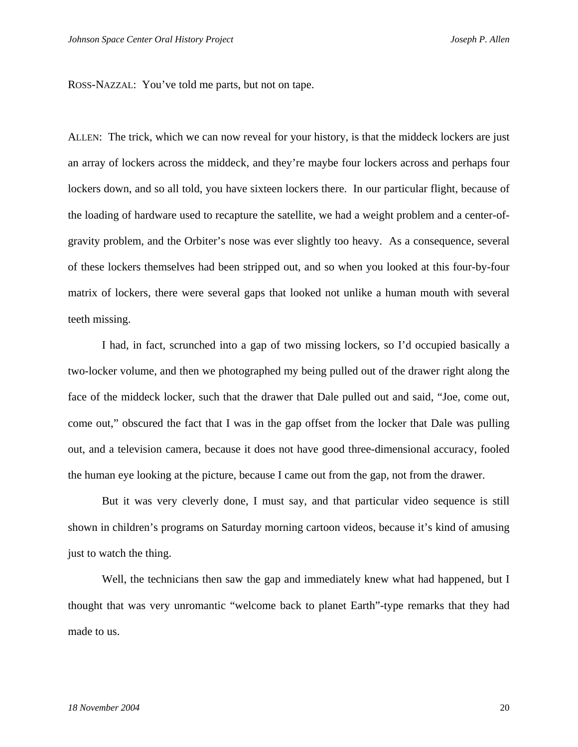ROSS-NAZZAL: You've told me parts, but not on tape.

ALLEN: The trick, which we can now reveal for your history, is that the middeck lockers are just an array of lockers across the middeck, and they're maybe four lockers across and perhaps four lockers down, and so all told, you have sixteen lockers there. In our particular flight, because of the loading of hardware used to recapture the satellite, we had a weight problem and a center-ofgravity problem, and the Orbiter's nose was ever slightly too heavy. As a consequence, several of these lockers themselves had been stripped out, and so when you looked at this four-by-four matrix of lockers, there were several gaps that looked not unlike a human mouth with several teeth missing.

I had, in fact, scrunched into a gap of two missing lockers, so I'd occupied basically a two-locker volume, and then we photographed my being pulled out of the drawer right along the face of the middeck locker, such that the drawer that Dale pulled out and said, "Joe, come out, come out," obscured the fact that I was in the gap offset from the locker that Dale was pulling out, and a television camera, because it does not have good three-dimensional accuracy, fooled the human eye looking at the picture, because I came out from the gap, not from the drawer.

But it was very cleverly done, I must say, and that particular video sequence is still shown in children's programs on Saturday morning cartoon videos, because it's kind of amusing just to watch the thing.

Well, the technicians then saw the gap and immediately knew what had happened, but I thought that was very unromantic "welcome back to planet Earth"-type remarks that they had made to us.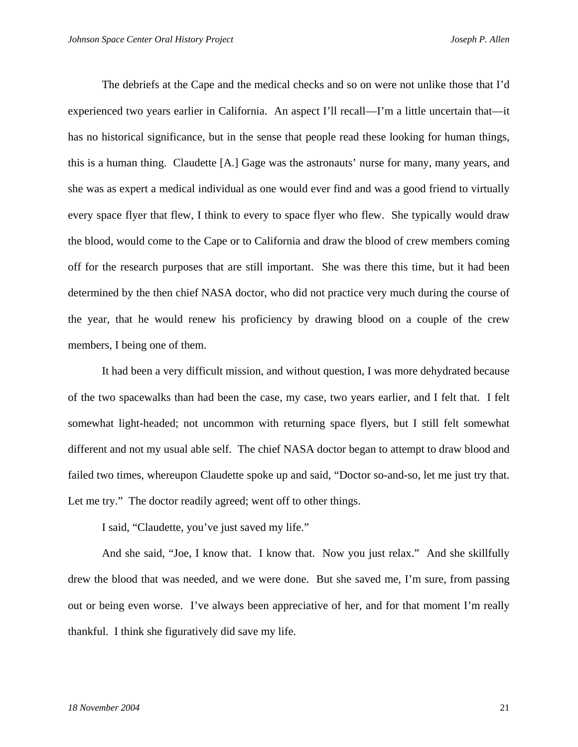The debriefs at the Cape and the medical checks and so on were not unlike those that I'd experienced two years earlier in California. An aspect I'll recall—I'm a little uncertain that—it has no historical significance, but in the sense that people read these looking for human things, this is a human thing. Claudette [A.] Gage was the astronauts' nurse for many, many years, and she was as expert a medical individual as one would ever find and was a good friend to virtually every space flyer that flew, I think to every to space flyer who flew. She typically would draw the blood, would come to the Cape or to California and draw the blood of crew members coming off for the research purposes that are still important. She was there this time, but it had been determined by the then chief NASA doctor, who did not practice very much during the course of the year, that he would renew his proficiency by drawing blood on a couple of the crew members, I being one of them.

It had been a very difficult mission, and without question, I was more dehydrated because of the two spacewalks than had been the case, my case, two years earlier, and I felt that. I felt somewhat light-headed; not uncommon with returning space flyers, but I still felt somewhat different and not my usual able self. The chief NASA doctor began to attempt to draw blood and failed two times, whereupon Claudette spoke up and said, "Doctor so-and-so, let me just try that. Let me try." The doctor readily agreed; went off to other things.

I said, "Claudette, you've just saved my life."

And she said, "Joe, I know that. I know that. Now you just relax." And she skillfully drew the blood that was needed, and we were done. But she saved me, I'm sure, from passing out or being even worse. I've always been appreciative of her, and for that moment I'm really thankful. I think she figuratively did save my life.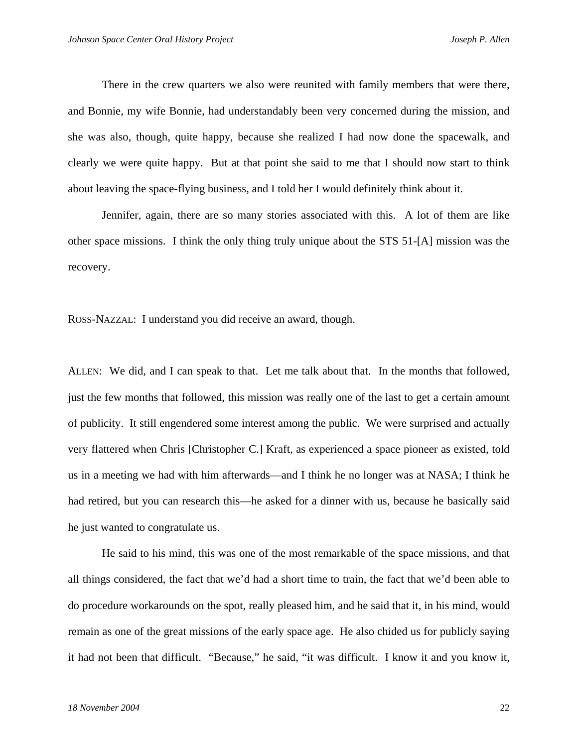There in the crew quarters we also were reunited with family members that were there, and Bonnie, my wife Bonnie, had understandably been very concerned during the mission, and she was also, though, quite happy, because she realized I had now done the spacewalk, and clearly we were quite happy. But at that point she said to me that I should now start to think about leaving the space-flying business, and I told her I would definitely think about it.

Jennifer, again, there are so many stories associated with this. A lot of them are like other space missions. I think the only thing truly unique about the STS 51-[A] mission was the recovery.

ROSS-NAZZAL: I understand you did receive an award, though.

ALLEN: We did, and I can speak to that. Let me talk about that. In the months that followed, just the few months that followed, this mission was really one of the last to get a certain amount of publicity. It still engendered some interest among the public. We were surprised and actually very flattered when Chris [Christopher C.] Kraft, as experienced a space pioneer as existed, told us in a meeting we had with him afterwards—and I think he no longer was at NASA; I think he had retired, but you can research this—he asked for a dinner with us, because he basically said he just wanted to congratulate us.

He said to his mind, this was one of the most remarkable of the space missions, and that all things considered, the fact that we'd had a short time to train, the fact that we'd been able to do procedure workarounds on the spot, really pleased him, and he said that it, in his mind, would remain as one of the great missions of the early space age. He also chided us for publicly saying it had not been that difficult. "Because," he said, "it was difficult. I know it and you know it,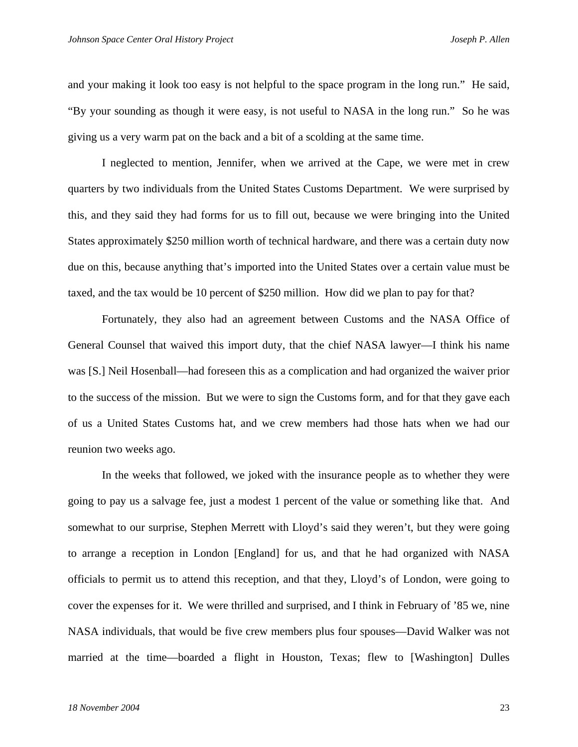and your making it look too easy is not helpful to the space program in the long run." He said, "By your sounding as though it were easy, is not useful to NASA in the long run." So he was giving us a very warm pat on the back and a bit of a scolding at the same time.

I neglected to mention, Jennifer, when we arrived at the Cape, we were met in crew quarters by two individuals from the United States Customs Department. We were surprised by this, and they said they had forms for us to fill out, because we were bringing into the United States approximately \$250 million worth of technical hardware, and there was a certain duty now due on this, because anything that's imported into the United States over a certain value must be taxed, and the tax would be 10 percent of \$250 million. How did we plan to pay for that?

Fortunately, they also had an agreement between Customs and the NASA Office of General Counsel that waived this import duty, that the chief NASA lawyer—I think his name was [S.] Neil Hosenball—had foreseen this as a complication and had organized the waiver prior to the success of the mission. But we were to sign the Customs form, and for that they gave each of us a United States Customs hat, and we crew members had those hats when we had our reunion two weeks ago.

In the weeks that followed, we joked with the insurance people as to whether they were going to pay us a salvage fee, just a modest 1 percent of the value or something like that. And somewhat to our surprise, Stephen Merrett with Lloyd's said they weren't, but they were going to arrange a reception in London [England] for us, and that he had organized with NASA officials to permit us to attend this reception, and that they, Lloyd's of London, were going to cover the expenses for it. We were thrilled and surprised, and I think in February of '85 we, nine NASA individuals, that would be five crew members plus four spouses—David Walker was not married at the time—boarded a flight in Houston, Texas; flew to [Washington] Dulles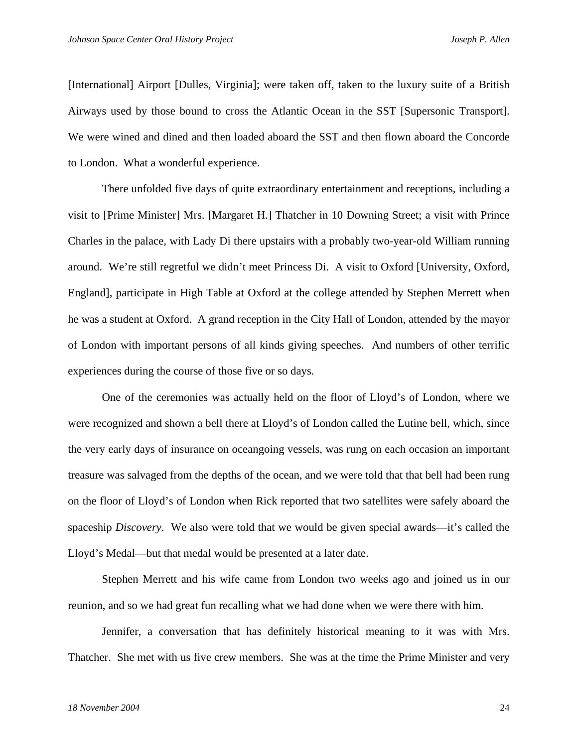[International] Airport [Dulles, Virginia]; were taken off, taken to the luxury suite of a British Airways used by those bound to cross the Atlantic Ocean in the SST [Supersonic Transport]. We were wined and dined and then loaded aboard the SST and then flown aboard the Concorde to London. What a wonderful experience.

There unfolded five days of quite extraordinary entertainment and receptions, including a visit to [Prime Minister] Mrs. [Margaret H.] Thatcher in 10 Downing Street; a visit with Prince Charles in the palace, with Lady Di there upstairs with a probably two-year-old William running around. We're still regretful we didn't meet Princess Di. A visit to Oxford [University, Oxford, England], participate in High Table at Oxford at the college attended by Stephen Merrett when he was a student at Oxford. A grand reception in the City Hall of London, attended by the mayor of London with important persons of all kinds giving speeches. And numbers of other terrific experiences during the course of those five or so days.

One of the ceremonies was actually held on the floor of Lloyd's of London, where we were recognized and shown a bell there at Lloyd's of London called the Lutine bell, which, since the very early days of insurance on oceangoing vessels, was rung on each occasion an important treasure was salvaged from the depths of the ocean, and we were told that that bell had been rung on the floor of Lloyd's of London when Rick reported that two satellites were safely aboard the spaceship *Discovery*. We also were told that we would be given special awards—it's called the Lloyd's Medal—but that medal would be presented at a later date.

Stephen Merrett and his wife came from London two weeks ago and joined us in our reunion, and so we had great fun recalling what we had done when we were there with him.

Jennifer, a conversation that has definitely historical meaning to it was with Mrs. Thatcher. She met with us five crew members. She was at the time the Prime Minister and very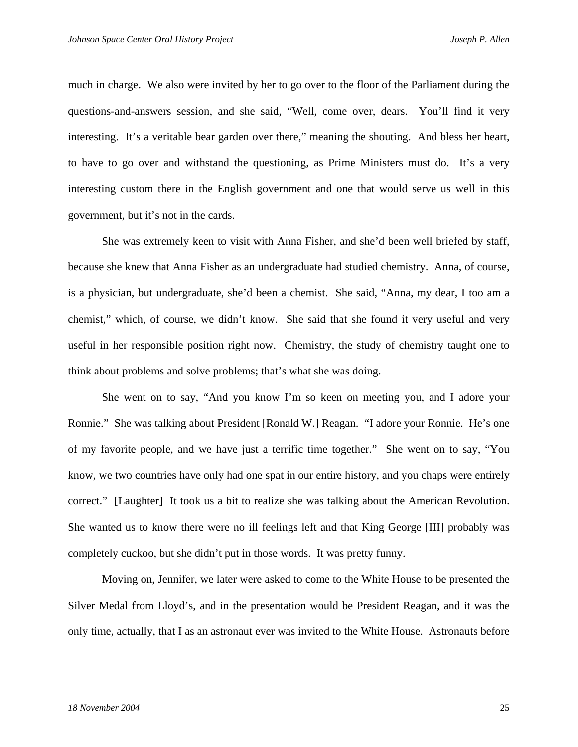much in charge. We also were invited by her to go over to the floor of the Parliament during the questions-and-answers session, and she said, "Well, come over, dears. You'll find it very interesting. It's a veritable bear garden over there," meaning the shouting. And bless her heart, to have to go over and withstand the questioning, as Prime Ministers must do. It's a very interesting custom there in the English government and one that would serve us well in this government, but it's not in the cards.

She was extremely keen to visit with Anna Fisher, and she'd been well briefed by staff, because she knew that Anna Fisher as an undergraduate had studied chemistry. Anna, of course, is a physician, but undergraduate, she'd been a chemist. She said, "Anna, my dear, I too am a chemist," which, of course, we didn't know. She said that she found it very useful and very useful in her responsible position right now. Chemistry, the study of chemistry taught one to think about problems and solve problems; that's what she was doing.

She went on to say, "And you know I'm so keen on meeting you, and I adore your Ronnie." She was talking about President [Ronald W.] Reagan. "I adore your Ronnie. He's one of my favorite people, and we have just a terrific time together." She went on to say, "You know, we two countries have only had one spat in our entire history, and you chaps were entirely correct." [Laughter] It took us a bit to realize she was talking about the American Revolution. She wanted us to know there were no ill feelings left and that King George [III] probably was completely cuckoo, but she didn't put in those words. It was pretty funny.

Moving on, Jennifer, we later were asked to come to the White House to be presented the Silver Medal from Lloyd's, and in the presentation would be President Reagan, and it was the only time, actually, that I as an astronaut ever was invited to the White House. Astronauts before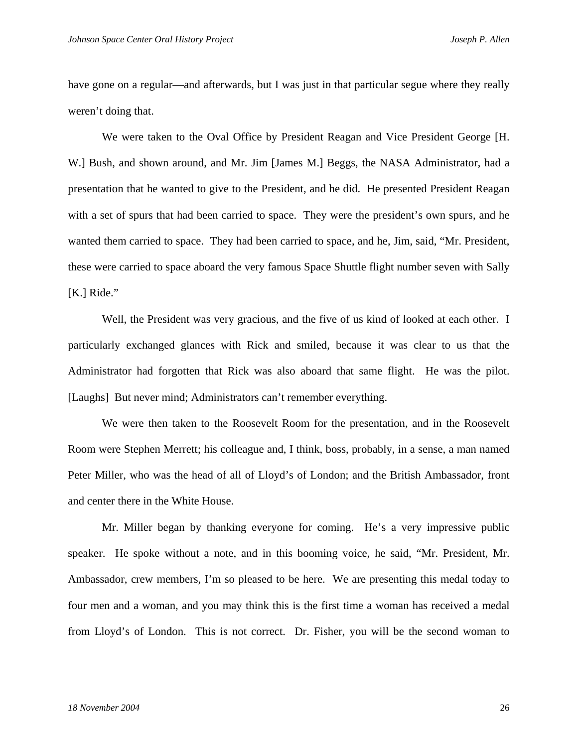have gone on a regular—and afterwards, but I was just in that particular segue where they really weren't doing that.

We were taken to the Oval Office by President Reagan and Vice President George [H. W.] Bush, and shown around, and Mr. Jim [James M.] Beggs, the NASA Administrator, had a presentation that he wanted to give to the President, and he did. He presented President Reagan with a set of spurs that had been carried to space. They were the president's own spurs, and he wanted them carried to space. They had been carried to space, and he, Jim, said, "Mr. President, these were carried to space aboard the very famous Space Shuttle flight number seven with Sally [K.] Ride."

Well, the President was very gracious, and the five of us kind of looked at each other. I particularly exchanged glances with Rick and smiled, because it was clear to us that the Administrator had forgotten that Rick was also aboard that same flight. He was the pilot. [Laughs] But never mind; Administrators can't remember everything.

We were then taken to the Roosevelt Room for the presentation, and in the Roosevelt Room were Stephen Merrett; his colleague and, I think, boss, probably, in a sense, a man named Peter Miller, who was the head of all of Lloyd's of London; and the British Ambassador, front and center there in the White House.

Mr. Miller began by thanking everyone for coming. He's a very impressive public speaker. He spoke without a note, and in this booming voice, he said, "Mr. President, Mr. Ambassador, crew members, I'm so pleased to be here. We are presenting this medal today to four men and a woman, and you may think this is the first time a woman has received a medal from Lloyd's of London. This is not correct. Dr. Fisher, you will be the second woman to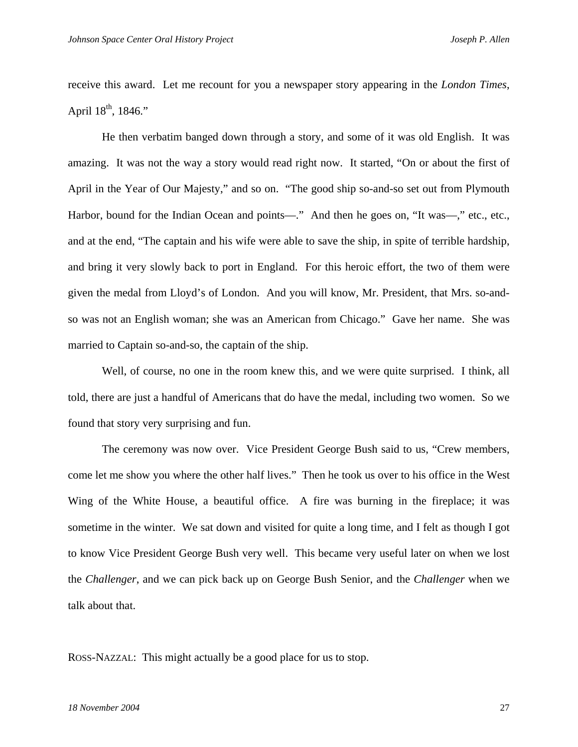receive this award. Let me recount for you a newspaper story appearing in the *London Times*, April  $18^{th}$ ,  $1846$ ."

He then verbatim banged down through a story, and some of it was old English. It was amazing. It was not the way a story would read right now. It started, "On or about the first of April in the Year of Our Majesty," and so on. "The good ship so-and-so set out from Plymouth Harbor, bound for the Indian Ocean and points—." And then he goes on, "It was—," etc., etc., and at the end, "The captain and his wife were able to save the ship, in spite of terrible hardship, and bring it very slowly back to port in England. For this heroic effort, the two of them were given the medal from Lloyd's of London. And you will know, Mr. President, that Mrs. so-andso was not an English woman; she was an American from Chicago." Gave her name. She was married to Captain so-and-so, the captain of the ship.

Well, of course, no one in the room knew this, and we were quite surprised. I think, all told, there are just a handful of Americans that do have the medal, including two women. So we found that story very surprising and fun.

The ceremony was now over. Vice President George Bush said to us, "Crew members, come let me show you where the other half lives." Then he took us over to his office in the West Wing of the White House, a beautiful office. A fire was burning in the fireplace; it was sometime in the winter. We sat down and visited for quite a long time, and I felt as though I got to know Vice President George Bush very well. This became very useful later on when we lost the *Challenger*, and we can pick back up on George Bush Senior, and the *Challenger* when we talk about that.

ROSS-NAZZAL: This might actually be a good place for us to stop.